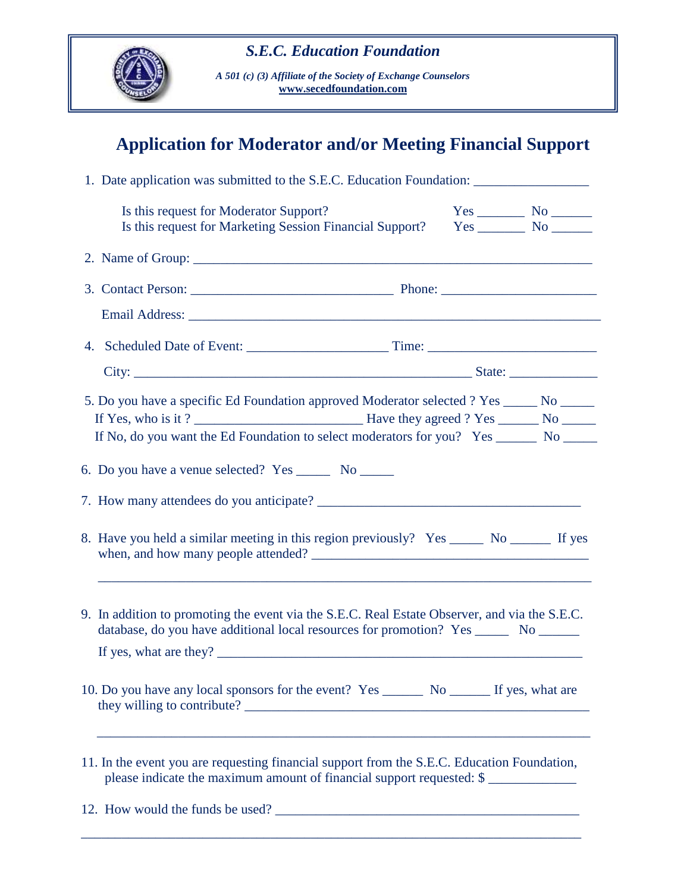

*A 501 (c) (3) Affiliate of the Society of Exchange Counselors* **[www.secedfoundation.com](http://www.secedfoundation.com/)**

## **Application for Moderator and/or Meeting Financial Support**

| 1. Date application was submitted to the S.E.C. Education Foundation: ______________________________                                                                                                                                                                                                                                                                                                                                                                                                                                                                                                       |  |                                             |  |  |  |  |
|------------------------------------------------------------------------------------------------------------------------------------------------------------------------------------------------------------------------------------------------------------------------------------------------------------------------------------------------------------------------------------------------------------------------------------------------------------------------------------------------------------------------------------------------------------------------------------------------------------|--|---------------------------------------------|--|--|--|--|
| Is this request for Moderator Support?<br>Is this request for Marketing Session Financial Support?                                                                                                                                                                                                                                                                                                                                                                                                                                                                                                         |  | $Yes$ No $\_\_\_\_\_\$ No $\_\_\_\_\_\_\_\$ |  |  |  |  |
|                                                                                                                                                                                                                                                                                                                                                                                                                                                                                                                                                                                                            |  |                                             |  |  |  |  |
|                                                                                                                                                                                                                                                                                                                                                                                                                                                                                                                                                                                                            |  |                                             |  |  |  |  |
|                                                                                                                                                                                                                                                                                                                                                                                                                                                                                                                                                                                                            |  |                                             |  |  |  |  |
|                                                                                                                                                                                                                                                                                                                                                                                                                                                                                                                                                                                                            |  |                                             |  |  |  |  |
|                                                                                                                                                                                                                                                                                                                                                                                                                                                                                                                                                                                                            |  |                                             |  |  |  |  |
| 5. Do you have a specific Ed Foundation approved Moderator selected ? Yes _____ No _____                                                                                                                                                                                                                                                                                                                                                                                                                                                                                                                   |  |                                             |  |  |  |  |
|                                                                                                                                                                                                                                                                                                                                                                                                                                                                                                                                                                                                            |  |                                             |  |  |  |  |
| If No, do you want the Ed Foundation to select moderators for you? Yes ________ No ______                                                                                                                                                                                                                                                                                                                                                                                                                                                                                                                  |  |                                             |  |  |  |  |
| 8. Have you held a similar meeting in this region previously? Yes _______ No ________ If yes                                                                                                                                                                                                                                                                                                                                                                                                                                                                                                               |  |                                             |  |  |  |  |
| 9. In addition to promoting the event via the S.E.C. Real Estate Observer, and via the S.E.C.<br>database, do you have additional local resources for promotion? Yes _________ No _______<br>If yes, what are they? $\frac{1}{\sqrt{1-\frac{1}{\sqrt{1-\frac{1}{\sqrt{1-\frac{1}{\sqrt{1-\frac{1}{\sqrt{1-\frac{1}{\sqrt{1-\frac{1}{\sqrt{1-\frac{1}{\sqrt{1-\frac{1}{\sqrt{1-\frac{1}{\sqrt{1-\frac{1}{\sqrt{1-\frac{1}{\sqrt{1-\frac{1}{\sqrt{1-\frac{1}{\sqrt{1-\frac{1}{\sqrt{1-\frac{1}{\sqrt{1-\frac{1}{\sqrt{1-\frac{1}{\sqrt{1-\frac{1}{\sqrt{1-\frac{1}{\sqrt{1-\frac{1}{\sqrt{1-\frac{1}{\sqrt{$ |  |                                             |  |  |  |  |
| they willing to contribute?                                                                                                                                                                                                                                                                                                                                                                                                                                                                                                                                                                                |  |                                             |  |  |  |  |
| 11. In the event you are requesting financial support from the S.E.C. Education Foundation,<br>please indicate the maximum amount of financial support requested: \$                                                                                                                                                                                                                                                                                                                                                                                                                                       |  |                                             |  |  |  |  |
| 12. How would the funds be used?                                                                                                                                                                                                                                                                                                                                                                                                                                                                                                                                                                           |  |                                             |  |  |  |  |
|                                                                                                                                                                                                                                                                                                                                                                                                                                                                                                                                                                                                            |  |                                             |  |  |  |  |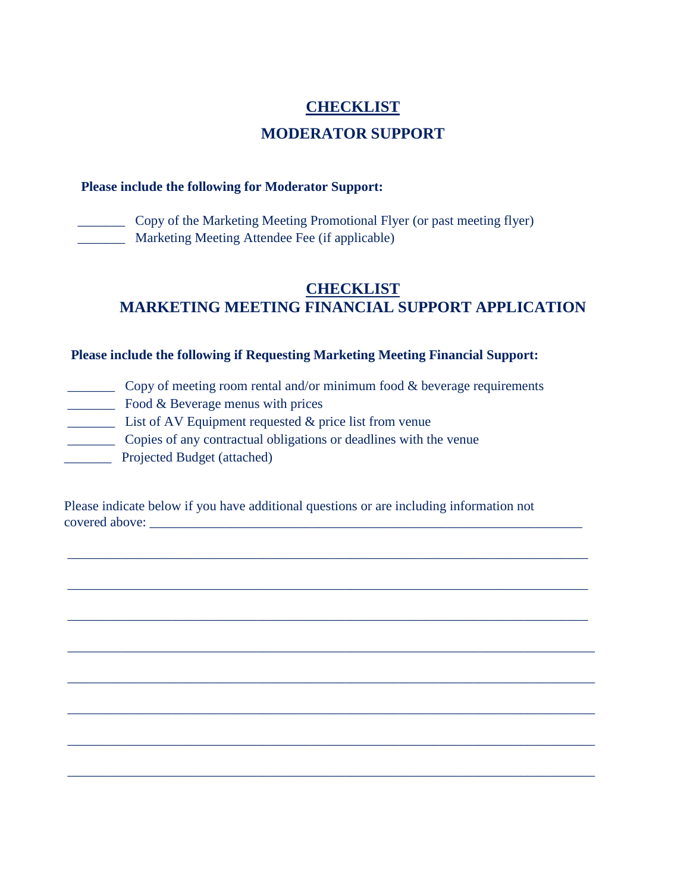# **CHECKLIST MODERATOR SUPPORT**

#### **Please include the following for Moderator Support:**

 \_\_\_\_\_\_\_ Copy of the Marketing Meeting Promotional Flyer (or past meeting flyer) \_\_\_\_\_\_\_ Marketing Meeting Attendee Fee (if applicable)

### **CHECKLIST MARKETING MEETING FINANCIAL SUPPORT APPLICATION**

#### **Please include the following if Requesting Marketing Meeting Financial Support:**

- \_\_\_\_\_\_\_ Copy of meeting room rental and/or minimum food & beverage requirements **EXECUTE:** Food & Beverage menus with prices
- \_\_\_\_\_\_\_ List of AV Equipment requested & price list from venue
	- \_\_\_\_\_\_\_ Copies of any contractual obligations or deadlines with the venue
- **Example 2** Projected Budget (attached)

 Please indicate below if you have additional questions or are including information not covered above:

 $\overline{\phantom{a}}$  ,  $\overline{\phantom{a}}$  ,  $\overline{\phantom{a}}$  ,  $\overline{\phantom{a}}$  ,  $\overline{\phantom{a}}$  ,  $\overline{\phantom{a}}$  ,  $\overline{\phantom{a}}$  ,  $\overline{\phantom{a}}$  ,  $\overline{\phantom{a}}$  ,  $\overline{\phantom{a}}$  ,  $\overline{\phantom{a}}$  ,  $\overline{\phantom{a}}$  ,  $\overline{\phantom{a}}$  ,  $\overline{\phantom{a}}$  ,  $\overline{\phantom{a}}$  ,  $\overline{\phantom{a}}$ 

 $\overline{\phantom{a}}$  ,  $\overline{\phantom{a}}$  ,  $\overline{\phantom{a}}$  ,  $\overline{\phantom{a}}$  ,  $\overline{\phantom{a}}$  ,  $\overline{\phantom{a}}$  ,  $\overline{\phantom{a}}$  ,  $\overline{\phantom{a}}$  ,  $\overline{\phantom{a}}$  ,  $\overline{\phantom{a}}$  ,  $\overline{\phantom{a}}$  ,  $\overline{\phantom{a}}$  ,  $\overline{\phantom{a}}$  ,  $\overline{\phantom{a}}$  ,  $\overline{\phantom{a}}$  ,  $\overline{\phantom{a}}$ 

 $\overline{\phantom{a}}$  ,  $\overline{\phantom{a}}$  ,  $\overline{\phantom{a}}$  ,  $\overline{\phantom{a}}$  ,  $\overline{\phantom{a}}$  ,  $\overline{\phantom{a}}$  ,  $\overline{\phantom{a}}$  ,  $\overline{\phantom{a}}$  ,  $\overline{\phantom{a}}$  ,  $\overline{\phantom{a}}$  ,  $\overline{\phantom{a}}$  ,  $\overline{\phantom{a}}$  ,  $\overline{\phantom{a}}$  ,  $\overline{\phantom{a}}$  ,  $\overline{\phantom{a}}$  ,  $\overline{\phantom{a}}$ 

 $\overline{\phantom{a}}$  ,  $\overline{\phantom{a}}$  ,  $\overline{\phantom{a}}$  ,  $\overline{\phantom{a}}$  ,  $\overline{\phantom{a}}$  ,  $\overline{\phantom{a}}$  ,  $\overline{\phantom{a}}$  ,  $\overline{\phantom{a}}$  ,  $\overline{\phantom{a}}$  ,  $\overline{\phantom{a}}$  ,  $\overline{\phantom{a}}$  ,  $\overline{\phantom{a}}$  ,  $\overline{\phantom{a}}$  ,  $\overline{\phantom{a}}$  ,  $\overline{\phantom{a}}$  ,  $\overline{\phantom{a}}$ 

 $\overline{\phantom{a}}$  ,  $\overline{\phantom{a}}$  ,  $\overline{\phantom{a}}$  ,  $\overline{\phantom{a}}$  ,  $\overline{\phantom{a}}$  ,  $\overline{\phantom{a}}$  ,  $\overline{\phantom{a}}$  ,  $\overline{\phantom{a}}$  ,  $\overline{\phantom{a}}$  ,  $\overline{\phantom{a}}$  ,  $\overline{\phantom{a}}$  ,  $\overline{\phantom{a}}$  ,  $\overline{\phantom{a}}$  ,  $\overline{\phantom{a}}$  ,  $\overline{\phantom{a}}$  ,  $\overline{\phantom{a}}$ 

 $\overline{\phantom{a}}$  ,  $\overline{\phantom{a}}$  ,  $\overline{\phantom{a}}$  ,  $\overline{\phantom{a}}$  ,  $\overline{\phantom{a}}$  ,  $\overline{\phantom{a}}$  ,  $\overline{\phantom{a}}$  ,  $\overline{\phantom{a}}$  ,  $\overline{\phantom{a}}$  ,  $\overline{\phantom{a}}$  ,  $\overline{\phantom{a}}$  ,  $\overline{\phantom{a}}$  ,  $\overline{\phantom{a}}$  ,  $\overline{\phantom{a}}$  ,  $\overline{\phantom{a}}$  ,  $\overline{\phantom{a}}$ 

 $\overline{\phantom{a}}$  ,  $\overline{\phantom{a}}$  ,  $\overline{\phantom{a}}$  ,  $\overline{\phantom{a}}$  ,  $\overline{\phantom{a}}$  ,  $\overline{\phantom{a}}$  ,  $\overline{\phantom{a}}$  ,  $\overline{\phantom{a}}$  ,  $\overline{\phantom{a}}$  ,  $\overline{\phantom{a}}$  ,  $\overline{\phantom{a}}$  ,  $\overline{\phantom{a}}$  ,  $\overline{\phantom{a}}$  ,  $\overline{\phantom{a}}$  ,  $\overline{\phantom{a}}$  ,  $\overline{\phantom{a}}$ 

 $\overline{\phantom{a}}$  ,  $\overline{\phantom{a}}$  ,  $\overline{\phantom{a}}$  ,  $\overline{\phantom{a}}$  ,  $\overline{\phantom{a}}$  ,  $\overline{\phantom{a}}$  ,  $\overline{\phantom{a}}$  ,  $\overline{\phantom{a}}$  ,  $\overline{\phantom{a}}$  ,  $\overline{\phantom{a}}$  ,  $\overline{\phantom{a}}$  ,  $\overline{\phantom{a}}$  ,  $\overline{\phantom{a}}$  ,  $\overline{\phantom{a}}$  ,  $\overline{\phantom{a}}$  ,  $\overline{\phantom{a}}$